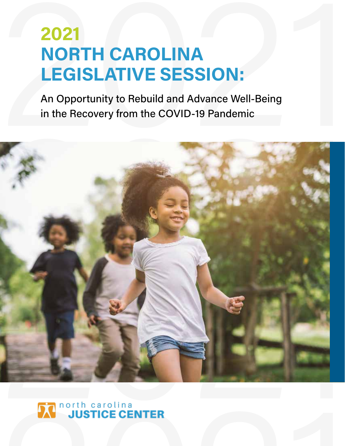# **2021<br>
NORTH CAROLINA<br>
LEGISLATIVE SESSION:**<br>
An Opportunity to Rebuild and Advance Well-Being<br>
in the Recovery from the COVID-19 Pandemic **2021 NORTH CAROLINA LEGISLATIVE SESSION:**

An Opportunity to Rebuild and Advance Well-Being in the Recovery from the COVID-19 Pandemic



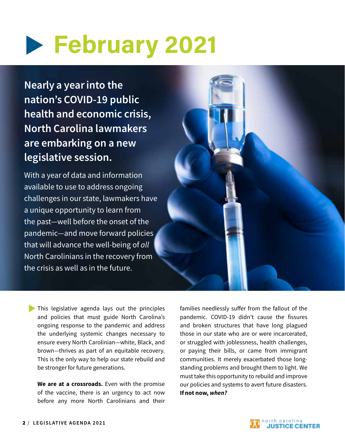## **February 2021**

Nearly a year into the nation's COVID-19 public health and economic crisis, North Carolina lawmakers are embarking on a new legislative session.

With a year of data and information available to use to address ongoing challenges in our state, lawmakers have a unique opportunity to learn from the past—well before the onset of the pandemic—and move forward policies that will advance the well-being of *all* North Carolinians in the recovery from the crisis as well as in the future.

This legislative agenda lays out the principles and policies that must guide North Carolina's ongoing response to the pandemic and address the underlying systemic changes necessary to ensure every North Carolinian—white, Black, and brown—thrives as part of an equitable recovery. This is the only way to help our state rebuild and be stronger for future generations.

We are at a crossroads. Even with the promise of the vaccine, there is an urgency to act now before any more North Carolinians and their families needlessly suffer from the fallout of the pandemic. COVID-19 didn't cause the fissures and broken structures that have long plagued those in our state who are or were incarcerated, or struggled with joblessness, health challenges, or paying their bills, or came from immigrant communities. It merely exacerbated those longstanding problems and brought them to light. We must take this opportunity to rebuild and improve our policies and systems to avert future disasters. If not now, *when?*

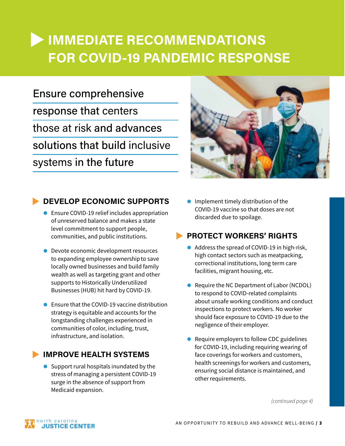## **IMMEDIATE RECOMMENDATIONS FOR COVID-19 PANDEMIC RESPONSE**

## Ensure comprehensive response that centers those at risk and advances solutions that build inclusive systems in the future



## **DEVELOP ECONOMIC SUPPORTS**

- Ensure COVID-19 relief includes appropriation of unreserved balance and makes a state level commitment to support people, communities, and public institutions.
- **Devote economic development resources** to expanding employee ownership to save locally owned businesses and build family wealth as well as targeting grant and other supports to Historically Underutilized Businesses (HUB) hit hard by COVID-19.
- $\bullet$  Ensure that the COVID-19 vaccine distribution strategy is equitable and accounts for the longstanding challenges experienced in communities of color, including, trust, infrastructure, and isolation.

### **IMPROVE HEALTH SYSTEMS**

 $\bullet$  Support rural hospitals inundated by the stress of managing a persistent COVID-19 surge in the absence of support from Medicaid expansion.

 $\bullet$  Implement timely distribution of the COVID-19 vaccine so that doses are not discarded due to spoilage.

## **PROTECT WORKERS' RIGHTS**

- Address the spread of COVID-19 in high-risk, high contact sectors such as meatpacking, correctional institutions, long term care facilities, migrant housing, etc.
- Require the NC Department of Labor (NCDOL) to respond to COVID-related complaints about unsafe working conditions and conduct inspections to protect workers. No worker should face exposure to COVID-19 due to the negligence of their employer.
- Require employers to follow CDC guidelines for COVID-19, including requiring wearing of face coverings for workers and customers, health screenings for workers and customers, ensuring social distance is maintained, and other requirements.

 *(continued page 4)*

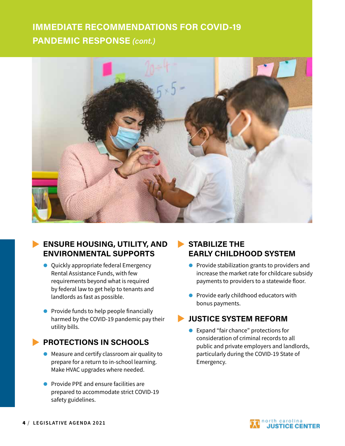## **IMMEDIATE RECOMMENDATIONS FOR COVID-19 PANDEMIC RESPONSE** *(cont.)*



## **ENSURE HOUSING, UTILITY, AND ENVIRONMENTAL SUPPORTS**

- **Quickly appropriate federal Emergency** Rental Assistance Funds, with few requirements beyond what is required by federal law to get help to tenants and landlords as fast as possible.
- $\bullet$  Provide funds to help people financially harmed by the COVID-19 pandemic pay their utility bills.

### **PROTECTIONS IN SCHOOLS**

- Measure and certify classroom air quality to prepare for a return to in-school learning. Make HVAC upgrades where needed.
- **•** Provide PPE and ensure facilities are prepared to accommodate strict COVID-19 safety guidelines.

## **STABILIZE THE EARLY CHILDHOOD SYSTEM**

- $\bullet$  Provide stabilization grants to providers and increase the market rate for childcare subsidy payments to providers to a statewide floor.
- $\bullet$  Provide early childhood educators with bonus payments.

## u **JUSTICE SYSTEM REFORM**

● Expand "fair chance" protections for consideration of criminal records to all public and private employers and landlords, particularly during the COVID-19 State of Emergency.

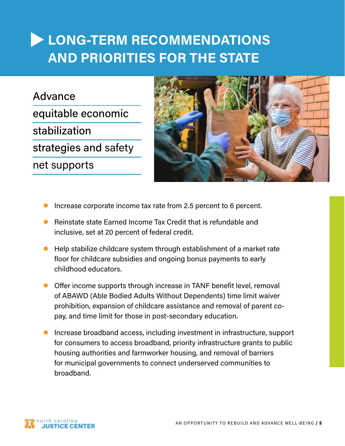Advance equitable economic stabilization strategies and safety net supports



- Increase corporate income tax rate from 2.5 percent to 6 percent.
- $\bullet$  Reinstate state Earned Income Tax Credit that is refundable and inclusive, set at 20 percent of federal credit.
- Help stabilize childcare system through establishment of a market rate floor for childcare subsidies and ongoing bonus payments to early childhood educators.
- **Offer income supports through increase in TANF benefit level, removal** of ABAWD (Able Bodied Adults Without Dependents) time limit waiver prohibition, expansion of childcare assistance and removal of parent copay, and time limit for those in post-secondary education.
- **Increase broadband access, including investment in infrastructure, support** for consumers to access broadband, priority infrastructure grants to public housing authorities and farmworker housing, and removal of barriers for municipal governments to connect underserved communities to broadband.

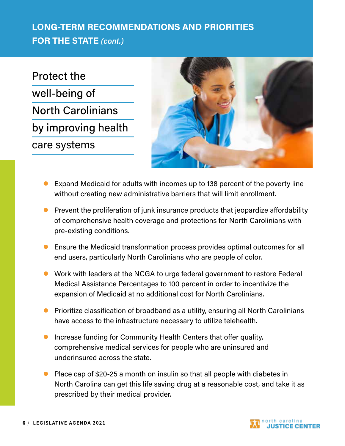Protect the well-being of North Carolinians by improving health care systems



- Expand Medicaid for adults with incomes up to 138 percent of the poverty line without creating new administrative barriers that will limit enrollment.
- $\bullet$  Prevent the proliferation of junk insurance products that jeopardize affordability of comprehensive health coverage and protections for North Carolinians with pre-existing conditions.
- **•** Ensure the Medicaid transformation process provides optimal outcomes for all end users, particularly North Carolinians who are people of color.
- **•** Work with leaders at the NCGA to urge federal government to restore Federal Medical Assistance Percentages to 100 percent in order to incentivize the expansion of Medicaid at no additional cost for North Carolinians.
- **•** Prioritize classification of broadband as a utility, ensuring all North Carolinians have access to the infrastructure necessary to utilize telehealth.
- Increase funding for Community Health Centers that offer quality, comprehensive medical services for people who are uninsured and underinsured across the state.
- Place cap of \$20-25 a month on insulin so that all people with diabetes in North Carolina can get this life saving drug at a reasonable cost, and take it as prescribed by their medical provider.

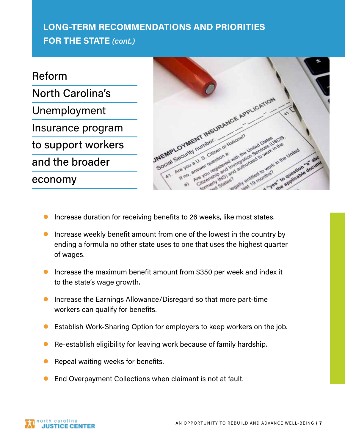Reform North Carolina's Unemployment Insurance program to support workers and the broader economy



- Increase duration for receiving benefits to 26 weeks, like most states.
- $\bullet$  Increase weekly benefit amount from one of the lowest in the country by ending a formula no other state uses to one that uses the highest quarter of wages.
- $\bullet$  Increase the maximum benefit amount from \$350 per week and index it to the state's wage growth.
- Increase the Earnings Allowance/Disregard so that more part-time workers can qualify for benefits.
- Establish Work-Sharing Option for employers to keep workers on the job.
- Re-establish eligibility for leaving work because of family hardship.
- Repeal waiting weeks for benefits.
- End Overpayment Collections when claimant is not at fault.

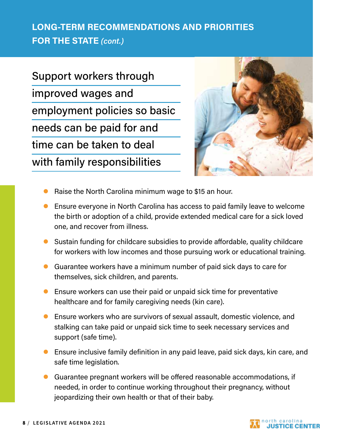Support workers through improved wages and employment policies so basic needs can be paid for and time can be taken to deal with family responsibilities



- Raise the North Carolina minimum wage to \$15 an hour.
- **•** Ensure everyone in North Carolina has access to paid family leave to welcome the birth or adoption of a child, provide extended medical care for a sick loved one, and recover from illness.
- $\bullet$  Sustain funding for childcare subsidies to provide affordable, quality childcare for workers with low incomes and those pursuing work or educational training.
- $\bullet$  Guarantee workers have a minimum number of paid sick days to care for themselves, sick children, and parents.
- $\bullet$  Ensure workers can use their paid or unpaid sick time for preventative healthcare and for family caregiving needs (kin care).
- Ensure workers who are survivors of sexual assault, domestic violence, and stalking can take paid or unpaid sick time to seek necessary services and support (safe time).
- **Ensure inclusive family definition in any paid leave, paid sick days, kin care, and** safe time legislation.
- **C** Guarantee pregnant workers will be offered reasonable accommodations, if needed, in order to continue working throughout their pregnancy, without jeopardizing their own health or that of their baby.

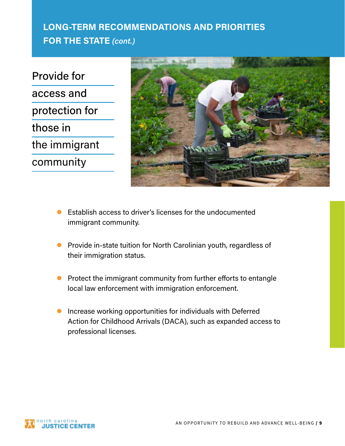Provide for access and protection for those in the immigrant community



- $\bullet$  Establish access to driver's licenses for the undocumented immigrant community.
- **•** Provide in-state tuition for North Carolinian youth, regardless of their immigration status.
- $\bullet$  Protect the immigrant community from further efforts to entangle local law enforcement with immigration enforcement.
- $\bullet$  Increase working opportunities for individuals with Deferred Action for Childhood Arrivals (DACA), such as expanded access to professional licenses.

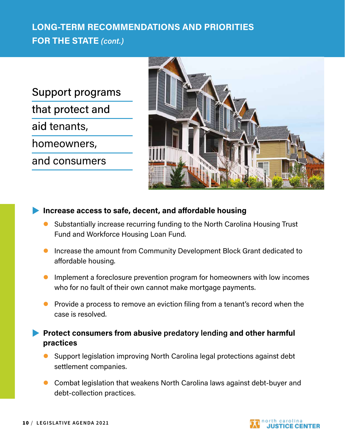Support programs that protect and aid tenants, homeowners, and consumers



### **Increase access to safe, decent, and affordable housing**

- Substantially increase recurring funding to the North Carolina Housing Trust Fund and Workforce Housing Loan Fund.
- $\bullet$  Increase the amount from Community Development Block Grant dedicated to affordable housing.
- $\bullet$  Implement a foreclosure prevention program for homeowners with low incomes who for no fault of their own cannot make mortgage payments.
- **P** Provide a process to remove an eviction filing from a tenant's record when the case is resolved.
- **Protect consumers from abusive predatory lending and other harmful practices**
	- Support legislation improving North Carolina legal protections against debt settlement companies.
	- **Combat legislation that weakens North Carolina laws against debt-buyer and** debt-collection practices.

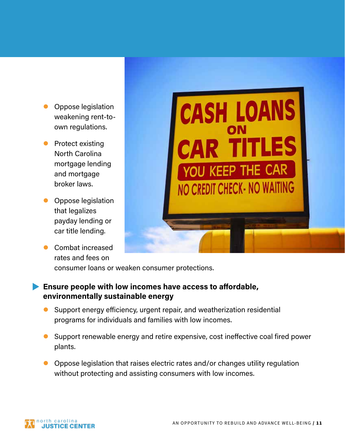- **Oppose legislation** weakening rent-toown regulations.
- **•** Protect existing North Carolina mortgage lending and mortgage broker laws.
- **Oppose legislation** that legalizes payday lending or car title lending.
- **Combat increased** rates and fees on



consumer loans or weaken consumer protections.

## **Ensure people with low incomes have access to affordable, environmentally sustainable energy**

- $\bullet$  Support energy efficiency, urgent repair, and weatherization residential programs for individuals and families with low incomes.
- $\bullet$  Support renewable energy and retire expensive, cost ineffective coal fired power plants.
- $\bullet$  Oppose legislation that raises electric rates and/or changes utility regulation without protecting and assisting consumers with low incomes.

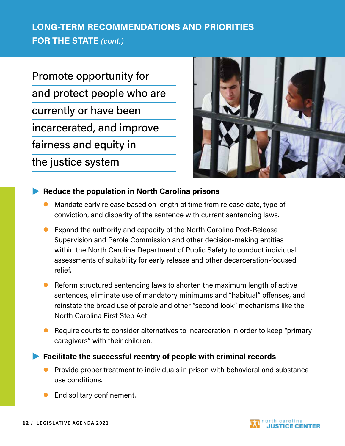Promote opportunity for and protect people who are currently or have been incarcerated, and improve fairness and equity in

the justice system



## **Reduce the population in North Carolina prisons**

- Mandate early release based on length of time from release date, type of conviction, and disparity of the sentence with current sentencing laws.
- $\bullet$  Expand the authority and capacity of the North Carolina Post-Release Supervision and Parole Commission and other decision-making entities within the North Carolina Department of Public Safety to conduct individual assessments of suitability for early release and other decarceration-focused relief.
- $\bullet$  Reform structured sentencing laws to shorten the maximum length of active sentences, eliminate use of mandatory minimums and "habitual" offenses, and reinstate the broad use of parole and other "second look" mechanisms like the North Carolina First Step Act.
- Require courts to consider alternatives to incarceration in order to keep "primary" caregivers" with their children.

**Facilitate the successful reentry of people with criminal records** 

- Provide proper treatment to individuals in prison with behavioral and substance use conditions.
- End solitary confinement.

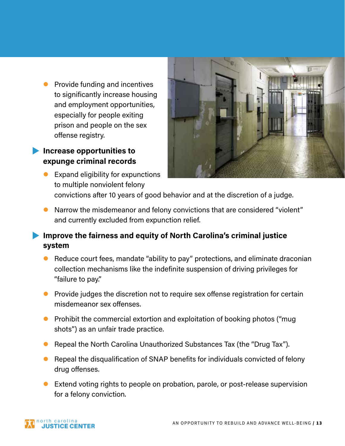$\bullet$  Provide funding and incentives to significantly increase housing and employment opportunities, especially for people exiting prison and people on the sex offense registry.

## **Increase opportunities to expunge criminal records**

Expand eligibility for expunctions to multiple nonviolent felony



• Narrow the misdemeanor and felony convictions that are considered "violent" and currently excluded from expunction relief.

## **Improve the fairness and equity of North Carolina's criminal justice system**

- Reduce court fees, mandate "ability to pay" protections, and eliminate draconian collection mechanisms like the indefinite suspension of driving privileges for "failure to pay."
- $\bullet$  Provide judges the discretion not to require sex offense registration for certain misdemeanor sex offenses.
- $\bullet$  Prohibit the commercial extortion and exploitation of booking photos ("mug shots") as an unfair trade practice.
- Repeal the North Carolina Unauthorized Substances Tax (the "Drug Tax").
- $\bullet$  Repeal the disqualification of SNAP benefits for individuals convicted of felony drug offenses.
- Extend voting rights to people on probation, parole, or post-release supervision for a felony conviction.

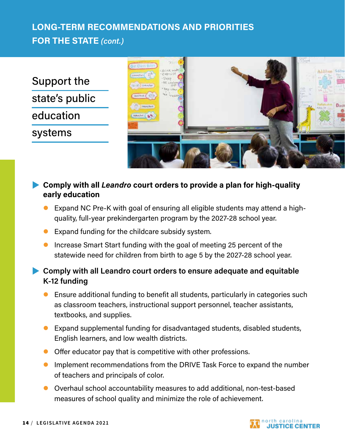Support the state's public education systems



## **Comply with all** *Leandro* **court orders to provide a plan for high-quality >> early education**

- Expand NC Pre-K with goal of ensuring all eligible students may attend a highquality, full-year prekindergarten program by the 2027-28 school year.
- $\bullet$  Expand funding for the childcare subsidy system.
- **Increase Smart Start funding with the goal of meeting 25 percent of the** statewide need for children from birth to age 5 by the 2027-28 school year.

## **Comply with all Leandro court orders to ensure adequate and equitable K-12 funding**

- $\bullet$  Ensure additional funding to benefit all students, particularly in categories such as classroom teachers, instructional support personnel, teacher assistants, textbooks, and supplies.
- Expand supplemental funding for disadvantaged students, disabled students, English learners, and low wealth districts.
- **•** Offer educator pay that is competitive with other professions.
- **IMPLEM** Implement recommendations from the DRIVE Task Force to expand the number of teachers and principals of color.
- l Overhaul school accountability measures to add additional, non-test-based measures of school quality and minimize the role of achievement.

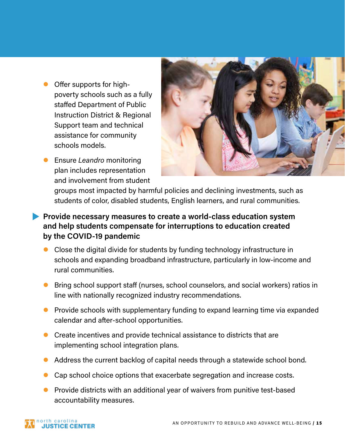- $\bullet$  Offer supports for highpoverty schools such as a fully staffed Department of Public Instruction District & Regional Support team and technical assistance for community schools models.
- **Ensure Leandro monitoring** plan includes representation and involvement from student



groups most impacted by harmful policies and declining investments, such as students of color, disabled students, English learners, and rural communities.

- **Provide necessary measures to create a world-class education system and help students compensate for interruptions to education created by the COVID-19 pandemic** 
	- $\bullet$  Close the digital divide for students by funding technology infrastructure in schools and expanding broadband infrastructure, particularly in low-income and rural communities.
	- $\bullet$  Bring school support staff (nurses, school counselors, and social workers) ratios in line with nationally recognized industry recommendations.
	- **Provide schools with supplementary funding to expand learning time via expanded** calendar and after-school opportunities.
	- $\bullet$  Create incentives and provide technical assistance to districts that are implementing school integration plans.
	- Address the current backlog of capital needs through a statewide school bond.
	- $\bullet$  Cap school choice options that exacerbate segregation and increase costs.
	- l Provide districts with an additional year of waivers from punitive test-based accountability measures.